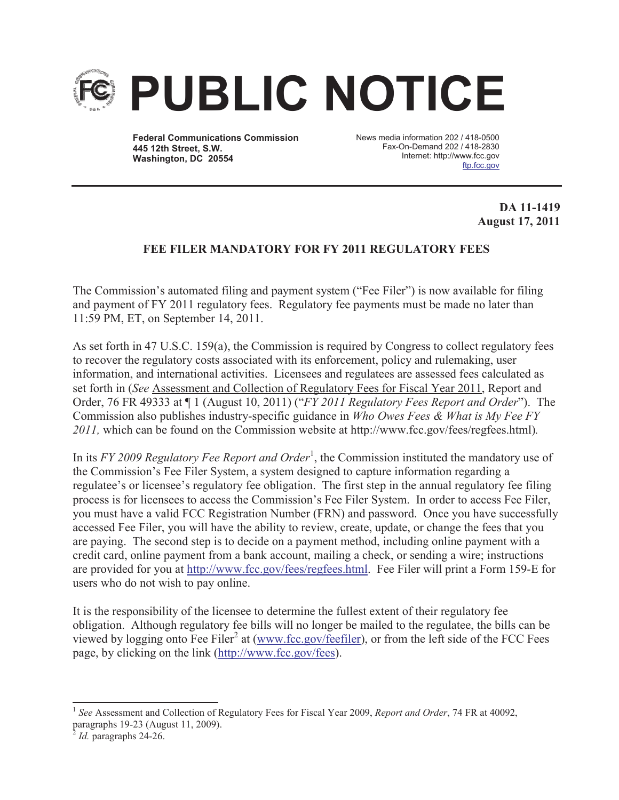

**Federal Communications Commission 445 12th Street, S.W. Washington, DC 20554**

News media information 202 / 418-0500 Fax-On-Demand 202 / 418-2830 Internet: http://www.fcc.gov ftp.fcc.gov

## **DA 11-1419 August 17, 2011**

# **FEE FILER MANDATORY FOR FY 2011 REGULATORY FEES**

The Commission's automated filing and payment system ("Fee Filer") is now available for filing and payment of FY 2011 regulatory fees. Regulatory fee payments must be made no later than 11:59 PM, ET, on September 14, 2011.

As set forth in 47 U.S.C. 159(a), the Commission is required by Congress to collect regulatory fees to recover the regulatory costs associated with its enforcement, policy and rulemaking, user information, and international activities. Licensees and regulatees are assessed fees calculated as set forth in (*See* Assessment and Collection of Regulatory Fees for Fiscal Year 2011, Report and Order, 76 FR 49333 at ¶ 1 (August 10, 2011) ("*FY 2011 Regulatory Fees Report and Order*"). The Commission also publishes industry-specific guidance in *Who Owes Fees & What is My Fee FY 2011,* which can be found on the Commission website at http://www.fcc.gov/fees/regfees.html)*.*

In its *FY 2009 Regulatory Fee Report and Order*<sup>1</sup>, the Commission instituted the mandatory use of the Commission's Fee Filer System, a system designed to capture information regarding a regulatee's or licensee's regulatory fee obligation. The first step in the annual regulatory fee filing process is for licensees to access the Commission's Fee Filer System. In order to access Fee Filer, you must have a valid FCC Registration Number (FRN) and password. Once you have successfully accessed Fee Filer, you will have the ability to review, create, update, or change the fees that you are paying. The second step is to decide on a payment method, including online payment with a credit card, online payment from a bank account, mailing a check, or sending a wire; instructions are provided for you at http://www.fcc.gov/fees/regfees.html. Fee Filer will print a Form 159-E for users who do not wish to pay online.

It is the responsibility of the licensee to determine the fullest extent of their regulatory fee obligation. Although regulatory fee bills will no longer be mailed to the regulatee, the bills can be viewed by logging onto Fee Filer<sup>2</sup> at (www.fcc.gov/feefiler), or from the left side of the FCC Fees page, by clicking on the link (http://www.fcc.gov/fees).

<sup>&</sup>lt;sup>1</sup> See Assessment and Collection of Regulatory Fees for Fiscal Year 2009, *Report and Order*, 74 FR at 40092, paragraphs 19-23 (August 11, 2009).

<sup>2</sup> *Id.* paragraphs 24-26.